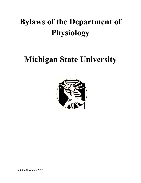# **Bylaws of the Department of Physiology**

## **Michigan State University**



Updated November 2017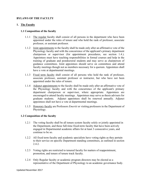## **BYLAWS OF THE FACULTY**

## **1. The Faculty**

#### **1.1 Composition of the faculty**

- 1.1.1 The regular faculty shall consist of all persons in the department who have been appointed under the rules of tenure and who hold the rank of professor, associate professor, or assistant professor.
- 1.1.2 Joint appointments to the faculty shall be made only after an affirmative vote of the Physiology faculty and with the concurrence of the applicant's primary department chairperson or supervisor (for appointment procedures, see section 1.4.). Appointees must have teaching responsibilities in formal courses and help in the training of graduate and postdoctoral students and may serve as chairperson of guidance committees. Joint appointees should serve on committees and attend faculty meetings though not as members necessary for a quorum. Appointees shall have a vote at departmental meetings.
- 1.1.3 Fixed term faculty shall consist of all persons who hold the rank of professor, associate professor, assistant professor or instructor, but who have not been appointed under the rules of tenure.
- 1.1.4 Adjunct appointments to the faculty shall be made only after an affirmative vote of the Physiology faculty and with the concurrence of the applicant's primary department chairperson or supervisor, where appropriate. Appointees are encouraged to attend faculty meetings. Appointees may serve as thesis advisers for graduate students. Adjunct appointees shall be renewed annually. Adjunct appointees shall not have a vote at departmental meetings.
- 1.1.5 Honorary faculty are Professors *Emeriti* or visiting professors in the Department of Physiology.

#### **1.2 Composition of the faculty**

- 1.2.1 The voting faculty shall be all tenure system faculty solely or jointly appointed in the Department, and those full-time fixed-term faculty that have been actively engaged in Departmental academic affairs for at least 3 consecutive years, and continue to be so.
- 1.2.2 All fixed term faculty and academic specialists have voting rights as they pertain to their service on specific Department standing committees, as outlined in section 2.4.2.
- 1.2.3 Voting rights are restricted to tenured faculty for matters of reappointment, promotion, and tenure of tenure track faculty.
- 1.2.4 Only Regular faculty or academic program directors may be elected as a representative of the Department of Physiology to an academic governance body.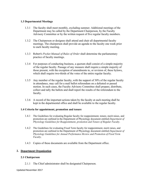## **1.3 Departmental Meetings**

- 1.3.1 The faculty shall meet monthly, excluding summer. Additional meetings of the Department may be called by the Department Chairperson, by the Faculty Advisory Committee or by the written request of five regular faculty members.
- 1.3.2 The Chairperson or designee shall attend and chair all departmental faculty meetings. The chairperson shall provide an agenda to the faculty one week prior to each faculty meeting.
- 1.3.3 Robert's *Pocket Manual of Rules of Order* shall determine the parliamentary practice of faculty meetings.
- 1.3.4 For purposes of conducting business, a quorum shall consist of a simple majority of the regular faculty. Passage of any measure shall require a simple majority of those present, with the exception of amendments to, or revision of, these bylaws, which shall require two-thirds of the votes of the entire regular faculty.
- 1.3.5 Any member of the regular faculty, with the support of 30% of the regular faculty in attendance, may call for a mail ballot referendum on a defeated or passed motion. In such cases, the Faculty Advisory Committee shall prepare, distribute, collect and tally the ballots and shall report the results of the referendum to the faculty.
- 1.3.6 A record of the important actions taken by the faculty at each meeting shall be kept in the departmental office and shall be available to the regular faculty.

## **1.4 Criteria for appointment, promotion and tenure**

- 1.4.1 The Guidelines for evaluating Regular faculty for reappointment, tenure, merit raises, and promotion are outlined in the Department of Physiology document entitled *Department of Physiology Guidelines for Reappointment, promotion and Tenure of Regular Faculty*.
- 1.4.2 The Guidelines for evaluating Fixed Term faculty for reappointment, merit raises, and promotion are outlined in the Department of Physiology document entitled *Department of Physiology Guidelines for Annual Performance Review and Promotion of Fixed Term Faculty.*
- 1.4.3 Copies of these documents are available from the Department office.

## **2. Department Organization**

#### **2.1 Chairperson**

2.1.1 The Chief administrator shall be designated Chairperson.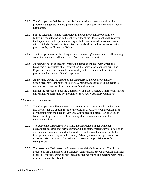- 2.1.2 The Chairperson shall be responsible for educational, research and service programs, budgetary matters, physical facilities, and personnel matters in his/her jurisdiction.
- 2.1.3 For the selection of a new Chairperson, the Faculty Advisory Committee, following consultation with the entire faculty of the Department, shall represent the Department and request a meeting with the respective deans of each college with which the Department is affiliated to establish procedures of consultation as prescribed by the University Bylaws.
- 2.1.4 The Chairperson or his/her designee shall be an *ex officio* member of all standing committees and can call a meeting of any standing committee.
- 2.1.5 At intervals not to exceed five years, the deans of colleges with which the Department is affiliated shall review the Chairperson for reappointment. The Department shall have shared responsibility with the deans and director on procedures for review of the Chairperson.
- 2.1.6 At any time during the tenure of the Chairperson, the Faculty Advisory Committee, representing the faculty, may request a meeting with the deans to consider early review of the Chairperson's performance.
- 2.1.7 During the absence of both the Chairperson and the Associate Chairperson, his/her duties shall be performed by the Chair of the Faculty Advisory Committee.

## **2.2 Associate Chairperson**

- 2.2.1 The Chairperson will recommend a member of the regular faculty to the deans and Provost for the appointment to the position of Associate Chairperson, after consultation with the Faculty Advisory Committee and discussion at a regular faculty meeting. The advice of the faculty shall be transmitted with the recommendation.
- 2.2.2 The Associate Chairperson will assist the Chairperson in departmental educational, research and service programs, budgetary matters, physical facilities and personnel matters. A partial list of duties includes collaboration with the Chairperson in meeting with the Faculty Advisory Committee, preparation of major reports, allocation of departmental resources, supervision of office manager, etc.
- 2.2.3 The Associate Chairperson will serve as the chief administrative officer in the absence of the Chairperson and therefore, can represent the Chairperson in his/her absence to fulfill responsibilities including signing forms and meeting with Deans or other University officials.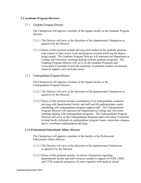## **2.3 Academic Program Directors**

## 2.3.1 Graduate Program Director

The Chairperson will appoint a member of the regular faculty as the Graduate Program **Director** 

- 2.3.1.1 The Director will serve at the discretion of the departmental Chairperson as agreed to by the Director.
- 2.3.1.2 Duties of this position include advising each student in the graduate program with respect to their course work and progress towards achieving the degree being sought. The Graduate Program Director will represent the Department at College and University meetings dealing with the graduate programs. The Graduate Program Director will serve on the Graduate Programs and Curriculum Committee to provide continuity on graduate student recruitment, financial support, and curricular issues.

## 2.3.2 Undergraduate Program Director

The Chairperson will appoint a member of the regular faculty as the Undergraduate Program Director.

- 2.3.2.1 The Director will serve at the discretion of the departmental Chairperson as agreed to by the Director.
- 2.3.2.2 Duties of this position include coordination of (a) undergraduate academic advising with departmental faculty and staff and (b) undergraduate course scheduling with undergraduate program support staff. The Undergraduate Program Director will represent the Department at College and University meetings dealing with undergraduate programs. The Undergraduate Program Director will serve on the Undergraduate Programs and Curriculum Committee to keep faculty informed on undergraduate program issues, curriculum changes, and to coordinate undergraduate advising.

## **2.3.3 Professional Educational Affairs Director**

The Chairperson will appoint a member of the faculty as the Professional Educational Affairs Director.

- 2.3.3.1 The Director will serve at the discretion of the departmental Chairperson as agreed to by the Director.
- 2.3.3.2 Duties of this position include: (a) advise Chairperson regarding departmental faculty and staff resources needed in support of COM, CHM, and CVM academic programs, (b) meet regularly with medical school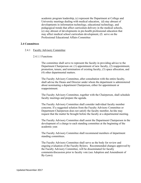academic program leadership, (c) represent the Department at College and University meetings dealing with medical education, (d) stay abreast of developments in information technology, educational technology, and pedagogical trends that affect curriculum delivery in the medical schools, (e) stay abreast of developments in pre-health professional education that may affect medical school curriculum development, (f) serve on the Professional Educational Affairs Committee

#### **2.4 Committees**

- 2.4.1 Faculty Advisory Committee
	- 2.4.1.1 Functions

The committee shall serve to represent the faculty in providing advice to the Department Chairperson on: (1) appointment of new faculty, (2) reappointment, promotion, tenure, and termination of existing faculty, (3) space allocation, and (4) other departmental matters.

The Faculty Advisory Committee, after consultation with the entire faculty, shall advise the Deans and Director under whom the department is administered about nominating a department Chairperson, either for appointment or reappointment.

The Faculty Advisory Committee, together with the Chairperson, shall schedule faculty meetings and prepare the agenda.

The Faculty Advisory Committee shall consider individual faculty member concerns. If a suggested solution from the Faculty Advisory Committee or Department Chairperson does not satisfy the faculty member, he/she may request that the matter be brought before the faculty at a departmental meeting.

The Faculty Advisory Committee shall assist the Department Chairperson in the development of a charge to each standing committee at the beginning of the academic year.

The Faculty Advisory Committee shall recommend members of department standing committees.

The Faculty Advisory Committee shall serve as the body for review and ongoing evaluation of the Faculty Bylaws. Recommended changes approved by the Faculty Advisory Committee, will be disseminated for faculty comments/discussion prior to faculty vote (see Adoption and Amendment of By-Laws).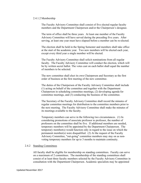#### 2.4.1.2 Membership

The Faculty Advisory Committee shall consist of five elected regular faculty members and the Department Chairperson and/or the Chairperson's designee.

The term of office shall be three years. At least one member of the Faculty Advisory Committee will have served during the preceding five years. After serving, at least one year must have elapsed before a member can be re-elected.

The election shall be held in the Spring Semester and members shall take office at the start of the academic year. Two new members will be elected each year, except every third year a single member will be elected.

The Faculty Advisory Committee shall solicit nominations from all regular faculty. The Faculty Advisory Committee will conduct the election, which will be by written secret ballot. The votes cast on each ballot shall equal the number of members to be selected.

The new committee shall elect its own Chairperson and Secretary as the first order of business at the first meeting of the new committee.

The duties of the Chairperson of the Faculty Advisory Committee shall include (1) acting on behalf of the committee and together with the Department Chairperson in scheduling committee meetings, (2) developing agenda for committee meetings, and (3) conducting the business of the committee.

The Secretary of the Faculty Advisory Committee shall record the minutes of regular committee meetings for distribution to the committee members prior to the next meeting. The Faculty Advisory Committee shall make the minutes of its meetings available to the faculty.

Temporary members can serve in the following two circumstances. (1) In considering promotions of associate professor to professor, the number of professors on the committee shall be five. If additional members are needed, temporary members will be appointed by the Department Chairperson. The temporary member(s) would function only in regard to the issue on which the permanent member(s) were disqualified. (2) At the request of the Faculty Advisory Committee, "out-going" committee members may stay on as nonvoting temporary members for up to 3 months to maintain continuity.

#### 2.4.2 Standing Committees

All faculty shall be eligible for membership on standing committees. Faculty can serve on a maximum of 2 committees. The membership of the standing committees shall consist of at least three faculty members selected by the Faculty Advisory Committee in consultation with the Department Chairperson. Academic specialists may be appointed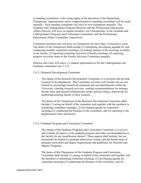to standing committees, with voting rights, at the discretion of the Department Chairperson. Appointments and/or reappointments to standing committees will be made annually. Each standing committee will elect its own chairperson annually. The Graduate and Undergraduate Program Directors and the Professional Educational Affairs Director will serve as regular members, not Chairpersons, of the Graduate and Undergraduate Programs and Curriculum Committees, and the Professional Educational Affairs Committee, respectively.

Committee members may not serve as Chairperson for more than 2 consecutive years. The duties of the Chairperson shall include (1) scheduling, developing agendas for and conducting monthly committee meetings, (2) making minutes of the meetings available to the faculty, (3) reporting committee activities at faculty meetings, (4) reporting progress on action items to the Faculty Advisory Committee annually.

Director and Chair will select 1-2 student representatives for the Undergraduate and Graduate committees (see 2.3.3).

#### 2.4.2.1 Research Development Committee

The charge of the Research Development Committee is to promote and develop research in the department. The Committee activities will include, but are not limited to, promoting research development and accomplishments within the University, charting research activities, making recommendations for strategic faculty hires and research infrastructure needs, and providing a framework for mentoring/assisting faculty in their research.

The duties of the Chairperson of the Research Development Committee shall include (1) acting on behalf of the committee and together with the members in scheduling committee meetings, (2) developing agenda for committee meetings,(3) conducting the business of the committee, and (4) reporting to the departmental Chair and faculty.

#### 2.4.2.2 Graduate Program and Curriculum Committee

The charge of the Graduate Programs and Curriculum Committee is to review and evaluate all aspects of the graduate program and make recommendations to the faculty for any modification thereof. These aspects shall include, but not necessarily be limited to, graduate admissions criteria, and the broad issues of graduate curriculum and degree requirements and guidelines for Doctoral and Masters Programs.

The duties of the Chairperson of the Graduate Program and Curriculum Committee shall include (1) acting on behalf of the committee and together with the members in scheduling committee meetings, (2) developing agenda for committee meetings,(3) conducting the business of the committee, and (4)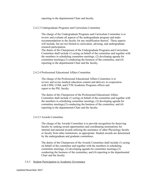reporting to the departmental Chair and faculty.

#### 2.4.2.3 Undergraduate Programs and Curriculum Committee

The charge of the Undergraduate Programs and Curriculum Committee is to review and evaluate all aspects of the undergraduate program and make recommendations to the faculty for any modification thereof. These aspects will include, but are not limited to curriculum, advising, and undergraduate research participation.

The duties of the Chairperson of the Undergraduate Programs and Curriculum Committee shall include (1) acting on behalf of the committee and together with the members in scheduling committee meetings, (2) developing agenda for committee meetings,(3) conducting the business of the committee, and (4) reporting to the departmental Chair and the faculty.

#### 2.4.2.4 Professional Educational Affairs Committee

The charge of the Professional Educational Affairs Committee is to review and revise medical education content and delivery in cooperation with CHM, COM, and CVM Academic Programs offices and report to the PSL faculty.

The duties of the Chairperson of the Professional Educational Affairs Committee shall include (1) acting on behalf of the committee and together with the members in scheduling committee meetings, (2) developing agenda for committee meetings,(3) conducting the business of the committee, and (4) reporting to the departmental Chair and the faculty.

#### 2.4.2.5 Awards Committee

The charge of the Awards Committee is to provide recognition for deserving faculty by seeking award opportunities and coordinating nominations for internal and national awards utilizing the assistance of other Physiology faculty or faculty from other institutions, as appropriate. Student awards are determined by the undergraduate and graduate committees.

The duties of the Chairperson of the Awards Committee shall include (1) acting on behalf of the committee and together with the members in scheduling committee meetings, (2) developing agenda for committee meetings,(3) conducting the business of the committee, and (4) reporting to the departmental Chair and the faculty.

#### 2.4.3 Student Participation in Academic Governance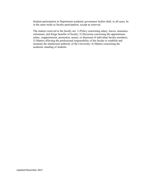Student participation in Department academic governance bodies shall, in all cases, be in the same mode as faculty participation, except as reserved.

The matters reserved to the faculty are: 1) Policy concerning salary, leaves, insurance, retirement, and fringe benefits of faculty; 2) Decisions concerning the appointment, salary, reappointment, promotion, tenure, or dismissal of individual faculty members; 3) Matters affecting the professional responsibility of the faculty to establish and maintain the intellectual authority of the University; 4) Matters concerning the academic standing of students.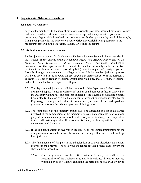## **3. Departmental Grievance Procedures**

#### **3.1 Faculty Grievances**

Any faculty member with the rank of professor, associate professor, assistant professor, lecturer, instructor, assistant instructor, research associate, or specialist may initiate a grievance procedure, alleging violation of existing policies or established practices by an administrator, by filing a complaint with the University Faculty Grievance Official (FGO) pursuant to the procedures set forth in the University Faculty Grievance Procedure.

## **3.2 Student Violations and Grievances**

Student judiciary process for Graduate and Undergraduate students will be as specified in the Articles of the current *Graduate Students Rights and Responsibilities* and of the *Michigan State University Academic Freedom Report* document. Adjudication necessitated on the departmental level should be handled informally (between the two parties with a chosen mediator approved by both) or at the request of a party or parties, formally through a departmental or college judiciary. Medical student judiciary process will be as specified in the *Medical Student Rights and Responsibilities* of the respective colleges (Colleges of Human Medicine, Osteopathic Medicine, and Veterinary Medicine) and will be handled by the respective colleges.

- 3.2.1 The departmental judiciary shall be composed of the departmental chairperson or designated deputy (to act as chairperson) and an equal number of faculty selected by the Advisory Committee, and students selected by the Physiology Graduate Student Committee (in the case of a graduate student grievance) or students selected by the Physiology Undergraduate student committee (in case of an undergraduate grievance) so as to reflect the composition of their groups.
- 3.2.2 The composition of the judiciary groups has to be agreeable to both or all parties involved. If the composition of the judiciary groups is not acceptable to at least one party, departmental chairperson should make every effort to change the composition to make all parties agreeable. If no solution is found, the hearing will be moved to the college level judiciary.
- 3.2.3 If the unit administrator is involved in the case, neither the unit administrator nor the designee may serve on the hearing board and the hearing will be moved to the college level judiciary.
- 3.2.4 The fundamentals of fair play in the adjudication of student violations and student grievances shall prevail. The following guidelines for due process shall govern the above judicial procedures.
	- 3.2.4.1 Once a grievance has been filed with a Judiciary, it shall be the responsibility of the Chairperson to notify, in writing, all parties involved within a period of 48 hours, excluding the period from 5:00 P.M. Friday to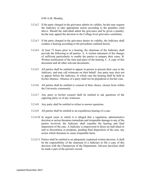8:00 A.M. Monday.

- 3.2.4.2 If the party charged in the grievance admits its validity, he/she may request the Judiciary to take appropriate action according to the penalties cited above. Should the individual admit the grievance and be given a penalty, he/she may appeal the decision to the College level grievance committee.
- 3.2.4.3 If the party charged in the grievance denies its validity, the Judiciary shall conduct a hearing according to the procedures outlined herein.
- 3.2.4.4 At least 72 hours prior to a hearing, the chairman of the Judiciary shall provide the following to all parties: A. A written statement of the charges of sufficient particularity to enable the parties to prepare their cases. B. Written notification of the time and place of the hearing. C. A copy of this document and all other relevant documents.
- 3.2.4.5 All parties shall be entitled to appear in person to present their case to the Judiciary, and may call witnesses on their behalf. Any party may elect not to appear before the Judiciary, in which case the hearing shall be held in his/her absence. Absence of a party shall not be prejudicial to his/her case.
- 3.2.4.6 All parties shall be entitled to counsel of their choice, chosen from within the University community.
- 3.2.4.7 Any party or his/her counsel shall be entitled to ask questions of the opposing party or of any witnesses.
- 3.2.4.8 Any party shall be entitled to refuse to answer questions.
- 3.2.4.9 All parties shall be entitled to an expeditious hearing of a case.
- 3.2.4.10 In urgent cases in which it is alleged that a regulation, administrative decision or action threatens immediate and irreparable damage to any of the parties involved, the Judiciary shall expedite the hearing and final disposition of the case. A Judiciary is empowered to direct an individual or unit to discontinue or postpone, pending final disposition of the case, any action which threatens to cause irreparable harm.
- 3.2.4.11 Parties shall be entitled to an adequately explained written decision. It shall be the responsibility of the chairman of a Judiciary to file a copy of this decision with the Chairperson of the Department. Adverse decisions shall be made a part of the person's record.